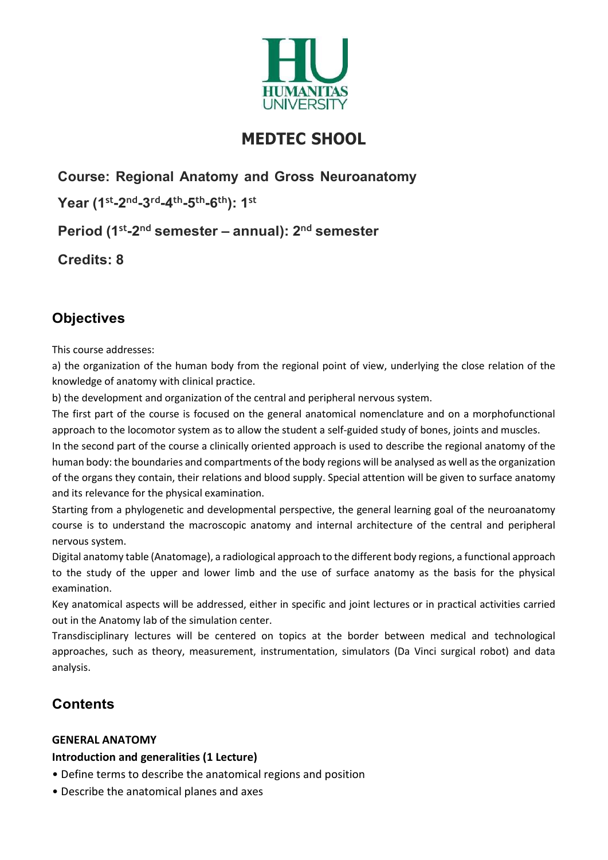

# MEDTEC SHOOL

Course: Regional Anatomy and Gross Neuroanatomy

Year (1st-2nd-3rd-4th-5th-6th): 1st

Period (1st-2<sup>nd</sup> semester – annual):  $2<sup>nd</sup>$  semester

Credits: 8

# **Objectives**

This course addresses:

a) the organization of the human body from the regional point of view, underlying the close relation of the knowledge of anatomy with clinical practice.

b) the development and organization of the central and peripheral nervous system.

The first part of the course is focused on the general anatomical nomenclature and on a morphofunctional approach to the locomotor system as to allow the student a self-guided study of bones, joints and muscles.

In the second part of the course a clinically oriented approach is used to describe the regional anatomy of the human body: the boundaries and compartments of the body regions will be analysed as well as the organization of the organs they contain, their relations and blood supply. Special attention will be given to surface anatomy and its relevance for the physical examination.

Starting from a phylogenetic and developmental perspective, the general learning goal of the neuroanatomy course is to understand the macroscopic anatomy and internal architecture of the central and peripheral nervous system.

Digital anatomy table (Anatomage), a radiological approach to the different body regions, a functional approach to the study of the upper and lower limb and the use of surface anatomy as the basis for the physical examination.

Key anatomical aspects will be addressed, either in specific and joint lectures or in practical activities carried out in the Anatomy lab of the simulation center.

Transdisciplinary lectures will be centered on topics at the border between medical and technological approaches, such as theory, measurement, instrumentation, simulators (Da Vinci surgical robot) and data analysis.

## **Contents**

#### GENERAL ANATOMY

#### Introduction and generalities (1 Lecture)

- Define terms to describe the anatomical regions and position
- Describe the anatomical planes and axes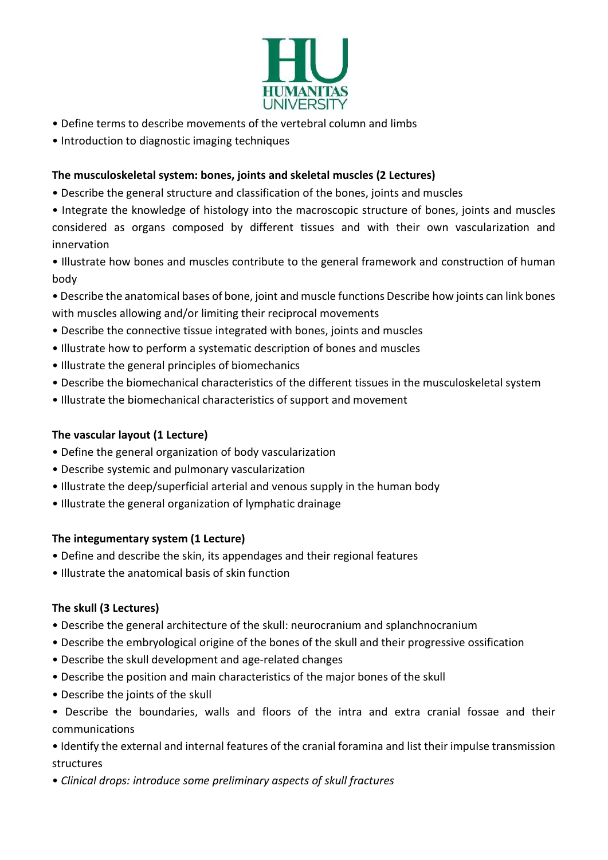

- Define terms to describe movements of the vertebral column and limbs
- Introduction to diagnostic imaging techniques

### The musculoskeletal system: bones, joints and skeletal muscles (2 Lectures)

- Describe the general structure and classification of the bones, joints and muscles
- Integrate the knowledge of histology into the macroscopic structure of bones, joints and muscles considered as organs composed by different tissues and with their own vascularization and innervation

• Illustrate how bones and muscles contribute to the general framework and construction of human body

- Describe the anatomical bases of bone, joint and muscle functions Describe how joints can link bones with muscles allowing and/or limiting their reciprocal movements
- Describe the connective tissue integrated with bones, joints and muscles
- Illustrate how to perform a systematic description of bones and muscles
- Illustrate the general principles of biomechanics
- Describe the biomechanical characteristics of the different tissues in the musculoskeletal system
- Illustrate the biomechanical characteristics of support and movement

## The vascular layout (1 Lecture)

- Define the general organization of body vascularization
- Describe systemic and pulmonary vascularization
- Illustrate the deep/superficial arterial and venous supply in the human body
- Illustrate the general organization of lymphatic drainage

#### The integumentary system (1 Lecture)

- Define and describe the skin, its appendages and their regional features
- Illustrate the anatomical basis of skin function

## The skull (3 Lectures)

- Describe the general architecture of the skull: neurocranium and splanchnocranium
- Describe the embryological origine of the bones of the skull and their progressive ossification
- Describe the skull development and age-related changes
- Describe the position and main characteristics of the major bones of the skull
- Describe the joints of the skull
- Describe the boundaries, walls and floors of the intra and extra cranial fossae and their communications

• Identify the external and internal features of the cranial foramina and list their impulse transmission structures

• Clinical drops: introduce some preliminary aspects of skull fractures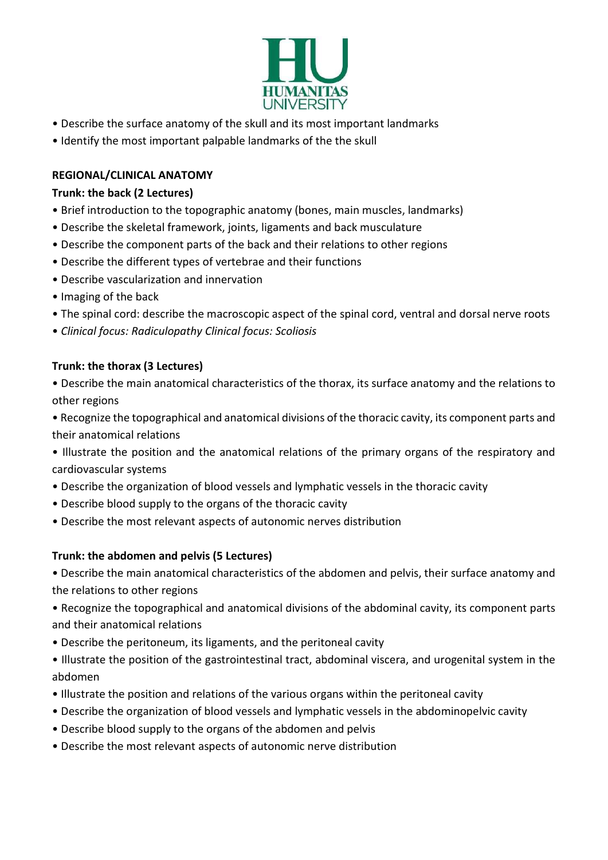

- Describe the surface anatomy of the skull and its most important landmarks
- Identify the most important palpable landmarks of the the skull

### REGIONAL/CLINICAL ANATOMY

#### Trunk: the back (2 Lectures)

- Brief introduction to the topographic anatomy (bones, main muscles, landmarks)
- Describe the skeletal framework, joints, ligaments and back musculature
- Describe the component parts of the back and their relations to other regions
- Describe the different types of vertebrae and their functions
- Describe vascularization and innervation
- Imaging of the back
- The spinal cord: describe the macroscopic aspect of the spinal cord, ventral and dorsal nerve roots
- Clinical focus: Radiculopathy Clinical focus: Scoliosis

## Trunk: the thorax (3 Lectures)

- Describe the main anatomical characteristics of the thorax, its surface anatomy and the relations to other regions
- Recognize the topographical and anatomical divisions of the thoracic cavity, its component parts and their anatomical relations
- Illustrate the position and the anatomical relations of the primary organs of the respiratory and cardiovascular systems
- Describe the organization of blood vessels and lymphatic vessels in the thoracic cavity
- Describe blood supply to the organs of the thoracic cavity
- Describe the most relevant aspects of autonomic nerves distribution

#### Trunk: the abdomen and pelvis (5 Lectures)

• Describe the main anatomical characteristics of the abdomen and pelvis, their surface anatomy and the relations to other regions

• Recognize the topographical and anatomical divisions of the abdominal cavity, its component parts and their anatomical relations

- Describe the peritoneum, its ligaments, and the peritoneal cavity
- Illustrate the position of the gastrointestinal tract, abdominal viscera, and urogenital system in the abdomen
- Illustrate the position and relations of the various organs within the peritoneal cavity
- Describe the organization of blood vessels and lymphatic vessels in the abdominopelvic cavity
- Describe blood supply to the organs of the abdomen and pelvis
- Describe the most relevant aspects of autonomic nerve distribution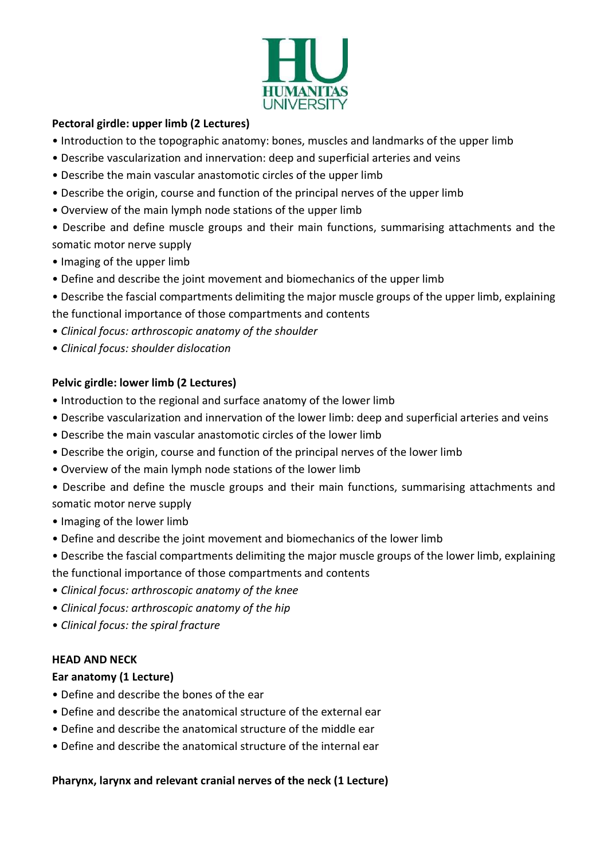

#### Pectoral girdle: upper limb (2 Lectures)

- Introduction to the topographic anatomy: bones, muscles and landmarks of the upper limb
- Describe vascularization and innervation: deep and superficial arteries and veins
- Describe the main vascular anastomotic circles of the upper limb
- Describe the origin, course and function of the principal nerves of the upper limb
- Overview of the main lymph node stations of the upper limb
- Describe and define muscle groups and their main functions, summarising attachments and the somatic motor nerve supply
- Imaging of the upper limb
- Define and describe the joint movement and biomechanics of the upper limb
- Describe the fascial compartments delimiting the major muscle groups of the upper limb, explaining the functional importance of those compartments and contents
- Clinical focus: arthroscopic anatomy of the shoulder
- Clinical focus: shoulder dislocation

#### Pelvic girdle: lower limb (2 Lectures)

- Introduction to the regional and surface anatomy of the lower limb
- Describe vascularization and innervation of the lower limb: deep and superficial arteries and veins
- Describe the main vascular anastomotic circles of the lower limb
- Describe the origin, course and function of the principal nerves of the lower limb
- Overview of the main lymph node stations of the lower limb
- Describe and define the muscle groups and their main functions, summarising attachments and somatic motor nerve supply
- Imaging of the lower limb
- Define and describe the joint movement and biomechanics of the lower limb
- Describe the fascial compartments delimiting the major muscle groups of the lower limb, explaining
- the functional importance of those compartments and contents
- Clinical focus: arthroscopic anatomy of the knee
- Clinical focus: arthroscopic anatomy of the hip
- Clinical focus: the spiral fracture

#### HEAD AND NECK

#### Ear anatomy (1 Lecture)

- Define and describe the bones of the ear
- Define and describe the anatomical structure of the external ear
- Define and describe the anatomical structure of the middle ear
- Define and describe the anatomical structure of the internal ear

#### Pharynx, larynx and relevant cranial nerves of the neck (1 Lecture)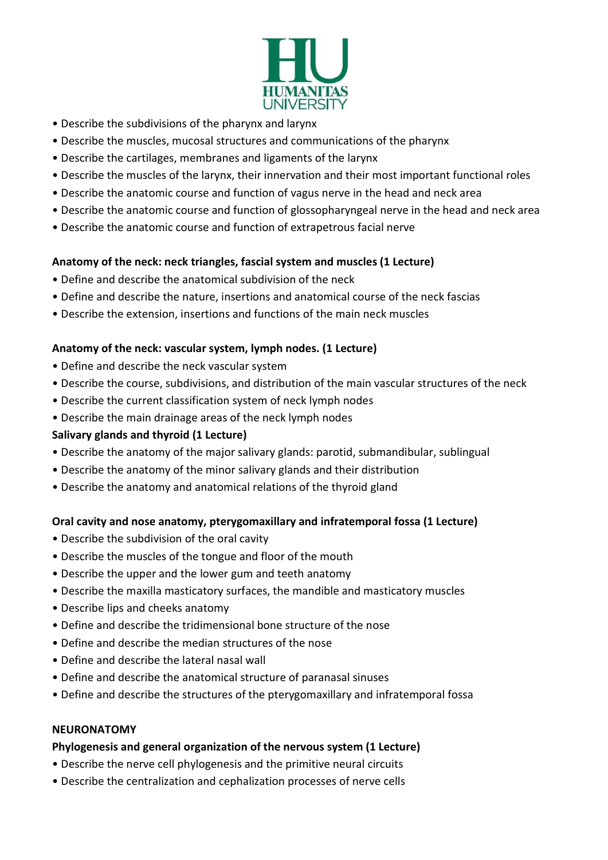

- Describe the subdivisions of the pharynx and larynx
- Describe the muscles, mucosal structures and communications of the pharynx
- Describe the cartilages, membranes and ligaments of the larynx
- Describe the muscles of the larynx, their innervation and their most important functional roles
- Describe the anatomic course and function of vagus nerve in the head and neck area
- Describe the anatomic course and function of glossopharyngeal nerve in the head and neck area
- Describe the anatomic course and function of extrapetrous facial nerve

#### Anatomy of the neck: neck triangles, fascial system and muscles (1 Lecture)

- Define and describe the anatomical subdivision of the neck
- Define and describe the nature, insertions and anatomical course of the neck fascias
- Describe the extension, insertions and functions of the main neck muscles

#### Anatomy of the neck: vascular system, lymph nodes. (1 Lecture)

- Define and describe the neck vascular system
- Describe the course, subdivisions, and distribution of the main vascular structures of the neck
- Describe the current classification system of neck lymph nodes
- Describe the main drainage areas of the neck lymph nodes

#### Salivary glands and thyroid (1 Lecture)

- Describe the anatomy of the major salivary glands: parotid, submandibular, sublingual
- Describe the anatomy of the minor salivary glands and their distribution
- Describe the anatomy and anatomical relations of the thyroid gland

#### Oral cavity and nose anatomy, pterygomaxillary and infratemporal fossa (1 Lecture)

- Describe the subdivision of the oral cavity
- Describe the muscles of the tongue and floor of the mouth
- Describe the upper and the lower gum and teeth anatomy
- Describe the maxilla masticatory surfaces, the mandible and masticatory muscles
- Describe lips and cheeks anatomy
- Define and describe the tridimensional bone structure of the nose
- Define and describe the median structures of the nose
- Define and describe the lateral nasal wall
- Define and describe the anatomical structure of paranasal sinuses
- Define and describe the structures of the pterygomaxillary and infratemporal fossa

#### **NEURONATOMY**

#### Phylogenesis and general organization of the nervous system (1 Lecture)

- Describe the nerve cell phylogenesis and the primitive neural circuits
- Describe the centralization and cephalization processes of nerve cells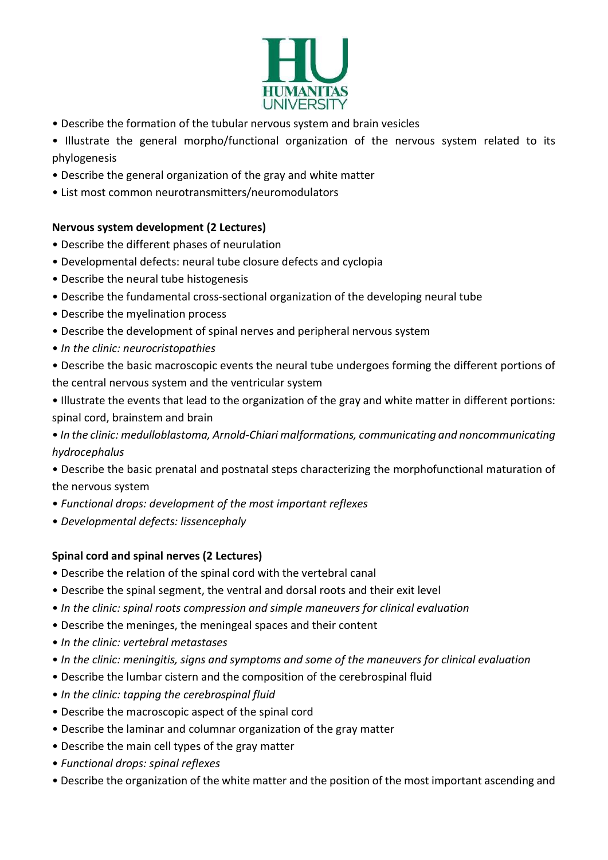

- Describe the formation of the tubular nervous system and brain vesicles
- Illustrate the general morpho/functional organization of the nervous system related to its phylogenesis
- Describe the general organization of the gray and white matter
- List most common neurotransmitters/neuromodulators

## Nervous system development (2 Lectures)

- Describe the different phases of neurulation
- Developmental defects: neural tube closure defects and cyclopia
- Describe the neural tube histogenesis
- Describe the fundamental cross-sectional organization of the developing neural tube
- Describe the myelination process
- Describe the development of spinal nerves and peripheral nervous system
- In the clinic: neurocristopathies
- Describe the basic macroscopic events the neural tube undergoes forming the different portions of the central nervous system and the ventricular system
- Illustrate the events that lead to the organization of the gray and white matter in different portions: spinal cord, brainstem and brain
- In the clinic: medulloblastoma, Arnold-Chiari malformations, communicating and noncommunicating hydrocephalus
- Describe the basic prenatal and postnatal steps characterizing the morphofunctional maturation of the nervous system
- Functional drops: development of the most important reflexes
- Developmental defects: lissencephaly

## Spinal cord and spinal nerves (2 Lectures)

- Describe the relation of the spinal cord with the vertebral canal
- Describe the spinal segment, the ventral and dorsal roots and their exit level
- In the clinic: spinal roots compression and simple maneuvers for clinical evaluation
- Describe the meninges, the meningeal spaces and their content
- In the clinic: vertebral metastases
- In the clinic: meningitis, signs and symptoms and some of the maneuvers for clinical evaluation
- Describe the lumbar cistern and the composition of the cerebrospinal fluid
- In the clinic: tapping the cerebrospinal fluid
- Describe the macroscopic aspect of the spinal cord
- Describe the laminar and columnar organization of the gray matter
- Describe the main cell types of the gray matter
- Functional drops: spinal reflexes
- Describe the organization of the white matter and the position of the most important ascending and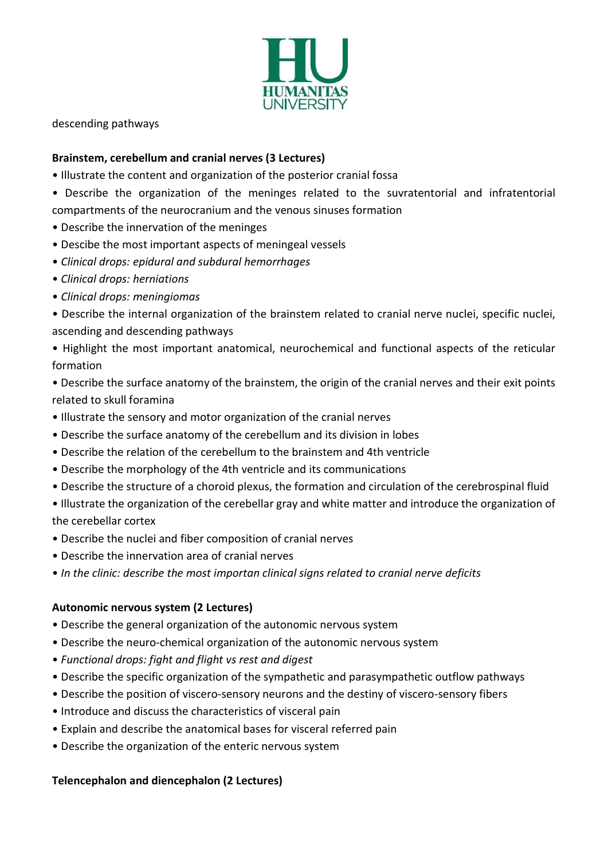

descending pathways

#### Brainstem, cerebellum and cranial nerves (3 Lectures)

- Illustrate the content and organization of the posterior cranial fossa
- Describe the organization of the meninges related to the suvratentorial and infratentorial compartments of the neurocranium and the venous sinuses formation
- Describe the innervation of the meninges
- Descibe the most important aspects of meningeal vessels
- Clinical drops: epidural and subdural hemorrhages
- Clinical drops: herniations
- Clinical drops: meningiomas
- Describe the internal organization of the brainstem related to cranial nerve nuclei, specific nuclei, ascending and descending pathways
- Highlight the most important anatomical, neurochemical and functional aspects of the reticular formation
- Describe the surface anatomy of the brainstem, the origin of the cranial nerves and their exit points related to skull foramina
- Illustrate the sensory and motor organization of the cranial nerves
- Describe the surface anatomy of the cerebellum and its division in lobes
- Describe the relation of the cerebellum to the brainstem and 4th ventricle
- Describe the morphology of the 4th ventricle and its communications
- Describe the structure of a choroid plexus, the formation and circulation of the cerebrospinal fluid
- Illustrate the organization of the cerebellar gray and white matter and introduce the organization of the cerebellar cortex
- Describe the nuclei and fiber composition of cranial nerves
- Describe the innervation area of cranial nerves
- In the clinic: describe the most importan clinical signs related to cranial nerve deficits

#### Autonomic nervous system (2 Lectures)

- Describe the general organization of the autonomic nervous system
- Describe the neuro-chemical organization of the autonomic nervous system
- Functional drops: fight and flight vs rest and digest
- Describe the specific organization of the sympathetic and parasympathetic outflow pathways
- Describe the position of viscero-sensory neurons and the destiny of viscero-sensory fibers
- Introduce and discuss the characteristics of visceral pain
- Explain and describe the anatomical bases for visceral referred pain
- Describe the organization of the enteric nervous system

#### Telencephalon and diencephalon (2 Lectures)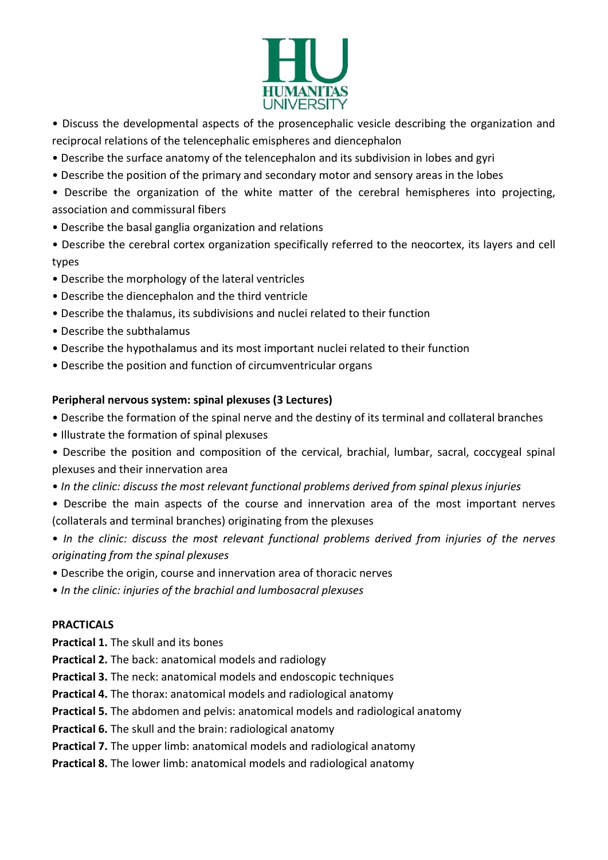

- Discuss the developmental aspects of the prosencephalic vesicle describing the organization and reciprocal relations of the telencephalic emispheres and diencephalon
- Describe the surface anatomy of the telencephalon and its subdivision in lobes and gyri
- Describe the position of the primary and secondary motor and sensory areas in the lobes
- Describe the organization of the white matter of the cerebral hemispheres into projecting, association and commissural fibers
- Describe the basal ganglia organization and relations
- Describe the cerebral cortex organization specifically referred to the neocortex, its layers and cell types
- Describe the morphology of the lateral ventricles
- Describe the diencephalon and the third ventricle
- Describe the thalamus, its subdivisions and nuclei related to their function
- Describe the subthalamus
- Describe the hypothalamus and its most important nuclei related to their function
- Describe the position and function of circumventricular organs

#### Peripheral nervous system: spinal plexuses (3 Lectures)

- Describe the formation of the spinal nerve and the destiny of its terminal and collateral branches
- Illustrate the formation of spinal plexuses
- Describe the position and composition of the cervical, brachial, lumbar, sacral, coccygeal spinal plexuses and their innervation area
- In the clinic: discuss the most relevant functional problems derived from spinal plexus injuries
- Describe the main aspects of the course and innervation area of the most important nerves (collaterals and terminal branches) originating from the plexuses
- In the clinic: discuss the most relevant functional problems derived from injuries of the nerves originating from the spinal plexuses
- Describe the origin, course and innervation area of thoracic nerves
- In the clinic: injuries of the brachial and lumbosacral plexuses

#### PRACTICALS

- Practical 1. The skull and its bones
- Practical 2. The back: anatomical models and radiology
- Practical 3. The neck: anatomical models and endoscopic techniques
- Practical 4. The thorax: anatomical models and radiological anatomy
- Practical 5. The abdomen and pelvis: anatomical models and radiological anatomy
- Practical 6. The skull and the brain: radiological anatomy
- Practical 7. The upper limb: anatomical models and radiological anatomy
- Practical 8. The lower limb: anatomical models and radiological anatomy